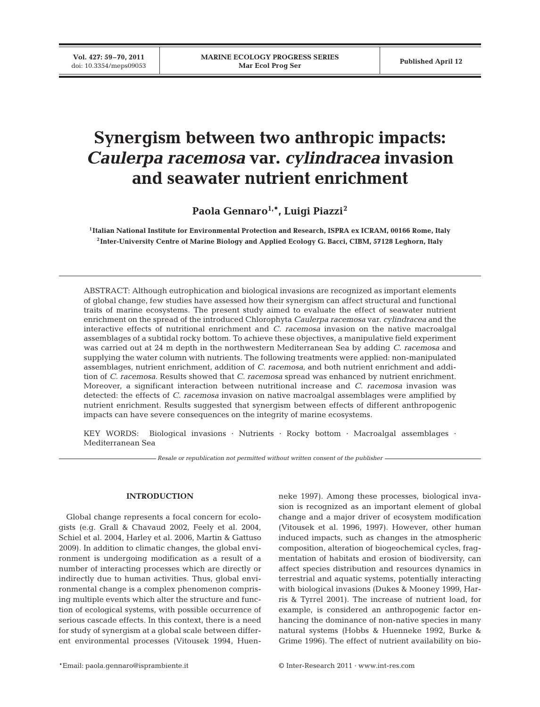**Vol. 427: 59–70, 2011**

# **Synergism between two anthropic impacts:** *Caulerpa racemosa* **var.** *cylindracea* **invasion and seawater nutrient enrichment**

Paola Gennaro<sup>1,\*</sup>, Luigi Piazzi<sup>2</sup>

**1Italian National Institute for Environmental Protection and Research, ISPRA ex ICRAM, 00166 Rome, Italy 2Inter-University Centre of Marine Biology and Applied Ecology G. Bacci, CIBM, 57128 Leghorn, Italy**

ABSTRACT: Although eutrophication and biological invasions are recognized as important elements of global change, few studies have assessed how their synergism can affect structural and functional traits of marine ecosystems. The present study aimed to evaluate the effect of seawater nutrient enrichment on the spread of the introduced Chlorophyta *Caulerpa racemosa* var. *cylindracea* and the interactive effects of nutritional enrichment and *C. racemosa* invasion on the native macroalgal assemblages of a subtidal rocky bottom. To achieve these objectives, a manipulative field experiment was carried out at 24 m depth in the northwestern Mediterranean Sea by adding *C. racemosa* and supplying the water column with nutrients. The following treatments were applied: non-manipulated assemblages, nutrient enrichment, addition of *C. racemosa,* and both nutrient enrichment and addition of *C. racemosa*. Results showed that *C. racemosa* spread was enhanced by nutrient enrichment. Moreover, a significant interaction between nutritional increase and *C. racemosa* invasion was detected: the effects of *C. racemosa* invasion on native macroalgal assemblages were amplified by nutrient enrichment. Results suggested that synergism between effects of different anthropogenic impacts can have severe consequences on the integrity of marine ecosystems.

KEY WORDS: Biological invasions · Nutrients · Rocky bottom · Macroalgal assemblages · Mediterranean Sea

*Resale or republication not permitted without written consent of the publisher*

## **INTRODUCTION**

Global change represents a focal concern for ecologists (e.g. Grall & Chavaud 2002, Feely et al. 2004, Schiel et al. 2004, Harley et al. 2006, Martin & Gattuso 2009). In addition to climatic changes, the global environment is undergoing modification as a result of a number of interacting processes which are directly or indirectly due to human activities. Thus, global environmental change is a complex phenomenon comprising multiple events which alter the structure and function of ecological systems, with possible occurrence of serious cascade effects. In this context, there is a need for study of synergism at a global scale between different environmental processes (Vitousek 1994, Huenneke 1997). Among these processes, biological invasion is recognized as an important element of global change and a major driver of ecosystem modification (Vitousek et al. 1996, 1997). However, other human induced impacts, such as changes in the atmospheric composition, alteration of biogeochemical cycles, fragmentation of habitats and erosion of biodiversity, can affect species distribution and resources dynamics in terrestrial and aquatic systems, potentially interacting with biological invasions (Dukes & Mooney 1999, Harris & Tyrrel 2001). The increase of nutrient load, for example, is considered an anthropogenic factor enhancing the dominance of non-native species in many natural systems (Hobbs & Huenneke 1992, Burke & Grime 1996). The effect of nutrient availability on bio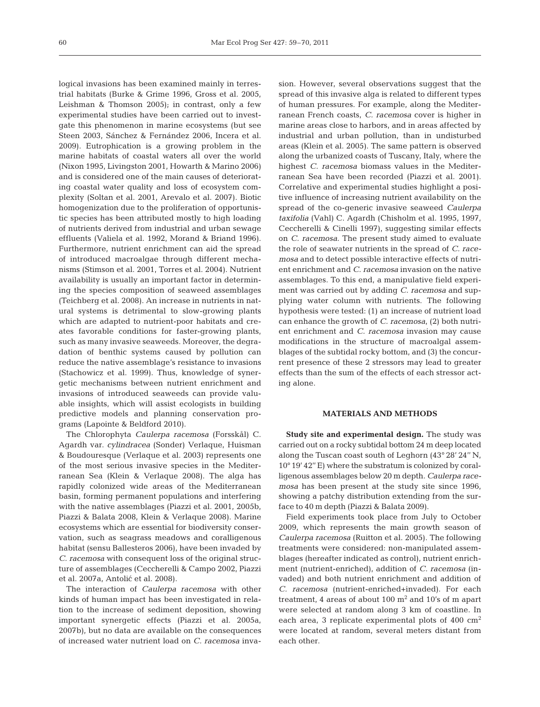logical invasions has been examined mainly in terrestrial habitats (Burke & Grime 1996, Gross et al. 2005, Leishman & Thomson 2005); in contrast, only a few experimental studies have been carried out to investgate this phenomenon in marine ecosystems (but see Steen 2003, Sánchez & Fernández 2006, Incera et al. 2009). Eutrophication is a growing problem in the marine habitats of coastal waters all over the world (Nixon 1995, Livingston 2001, Howarth & Marino 2006) and is considered one of the main causes of deteriorating coastal water quality and loss of ecosystem complexity (Soltan et al. 2001, Arevalo et al. 2007). Biotic homogenization due to the proliferation of opportunistic species has been attributed mostly to high loading of nutrients derived from industrial and urban sewage effluents (Valiela et al. 1992, Morand & Briand 1996). Furthermore, nutrient enrichment can aid the spread of introduced macroalgae through different mechanisms (Stimson et al. 2001, Torres et al. 2004). Nutrient availability is usually an important factor in determining the species composition of seaweed assemblages (Teichberg et al. 2008). An increase in nutrients in natural systems is detrimental to slow-growing plants which are adapted to nutrient-poor habitats and creates favorable conditions for faster-growing plants, such as many invasive seaweeds. Moreover, the degradation of benthic systems caused by pollution can reduce the native assemblage's resistance to invasions (Stachowicz et al. 1999). Thus, knowledge of synergetic mechanisms between nutrient enrichment and invasions of introduced seaweeds can provide valuable insights, which will assist ecologists in building predictive models and planning conservation programs (Lapointe & Beldford 2010).

The Chlorophyta *Caulerpa racemosa* (Forsskål) C. Agardh var. *cylindracea* (Sonder) Verlaque, Huisman & Boudouresque (Verlaque et al. 2003) represents one of the most serious invasive species in the Mediterranean Sea (Klein & Verlaque 2008). The alga has rapidly colonized wide areas of the Mediterranean basin, forming permanent populations and interfering with the native assemblages (Piazzi et al. 2001, 2005b, Piazzi & Balata 2008, Klein & Verlaque 2008). Marine ecosystems which are essential for biodiversity conservation, such as seagrass meadows and coralligenous habitat (sensu Ballesteros 2006), have been invaded by *C. racemosa* with consequent loss of the original structure of assemblages (Ceccherelli & Campo 2002, Piazzi et al. 2007a, Antolic et al. 2008). ´

The interaction of *Caulerpa racemosa* with other kinds of human impact has been investigated in relation to the increase of sediment deposition, showing important synergetic effects (Piazzi et al. 2005a, 2007b), but no data are available on the consequences of increased water nutrient load on *C. racemosa* invasion. However, several observations suggest that the spread of this invasive alga is related to different types of human pressures. For example, along the Mediterranean French coasts, *C. racemosa* cover is higher in marine areas close to harbors, and in areas affected by industrial and urban pollution, than in undisturbed areas (Klein et al. 2005). The same pattern is observed along the urbanized coasts of Tuscany, Italy, where the highest *C. racemosa* biomass values in the Mediterranean Sea have been recorded (Piazzi et al. 2001). Correlative and experimental studies highlight a positive influence of increasing nutrient availability on the spread of the co-generic invasive seaweed *Caulerpa taxifolia* (Vahl) C. Agardh (Chisholm et al. 1995, 1997, Ceccherelli & Cinelli 1997), suggesting similar effects on *C. racemosa*. The present study aimed to evaluate the role of seawater nutrients in the spread of *C. racemosa* and to detect possible interactive effects of nutrient enrichment and *C. racemosa* invasion on the native assemblages. To this end, a manipulative field experiment was carried out by adding *C. racemosa* and supplying water column with nutrients. The following hypothesis were tested: (1) an increase of nutrient load can enhance the growth of *C. racemosa*, (2) both nutrient enrichment and *C. racemosa* invasion may cause modifications in the structure of macroalgal assemblages of the subtidal rocky bottom, and (3) the concurrent presence of these 2 stressors may lead to greater effects than the sum of the effects of each stressor acting alone.

## **MATERIALS AND METHODS**

**Study site and experimental design.** The study was carried out on a rocky subtidal bottom 24 m deep located along the Tuscan coast south of Leghorn (43° 28' 24'' N, 10° 19' 42'' E) where the substratum is colonized by coralligenous assemblages below 20 m depth. *Caulerpa racemosa* has been present at the study site since 1996, showing a patchy distribution extending from the surface to 40 m depth (Piazzi & Balata 2009).

Field experiments took place from July to October 2009, which represents the main growth season of *Caulerpa racemosa* (Ruitton et al. 2005). The following treatments were considered: non-manipulated assemblages (hereafter indicated as control), nutrient enrichment (nutrient-enriched), addition of *C. racemosa* (in vaded) and both nutrient enrichment and addition of *C. racemosa* (nutrient-enriched+invaded). For each treatment, 4 areas of about  $100 \text{ m}^2$  and  $10\text{'s}$  of m apart were selected at random along 3 km of coastline. In each area, 3 replicate experimental plots of 400 cm<sup>2</sup> were located at random, several meters distant from each other.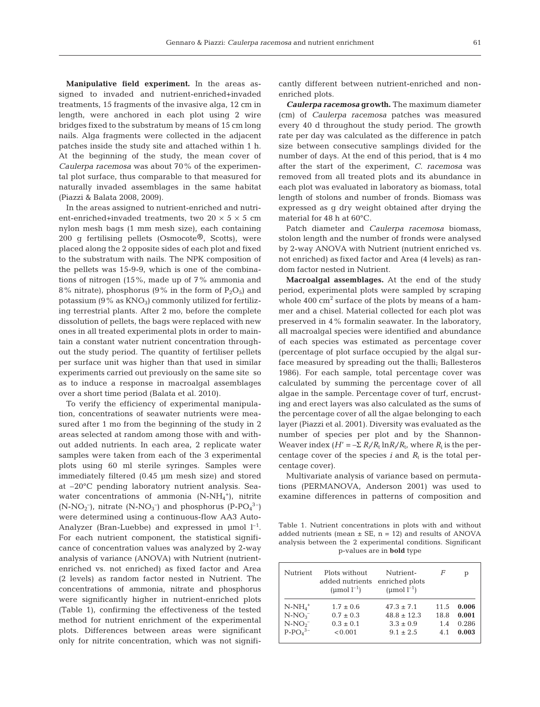Manipulative field experiment. In the areas assigned to invaded and nutrient-enriched+invaded treatments, 15 fragments of the invasive alga, 12 cm in length, were anchored in each plot using 2 wire bridges fixed to the substratum by means of 15 cm long nails. Alga fragments were collected in the adjacent patches inside the study site and attached within 1 h. At the beginning of the study, the mean cover of *Caulerpa racemosa* was about 70% of the experimental plot surface, thus comparable to that measured for naturally invaded assemblages in the same habitat (Piazzi & Balata 2008, 2009).

In the areas assigned to nutrient-enriched and nutrient-enriched+invaded treatments, two  $20 \times 5 \times 5$  cm nylon mesh bags (1 mm mesh size), each containing 200 g fertilising pellets (Osmocote®, Scotts), were placed along the 2 opposite sides of each plot and fixed to the substratum with nails. The NPK composition of the pellets was 15-9-9, which is one of the combinations of nitrogen (15%, made up of 7% ammonia and 8% nitrate), phosphorus (9% in the form of  $P_2O_5$ ) and potassium  $(9\%$  as  $KNO_3)$  commonly utilized for fertilizing terrestrial plants. After 2 mo, before the complete dissolution of pellets, the bags were replaced with new ones in all treated experimental plots in order to maintain a constant water nutrient concentration throughout the study period. The quantity of fertiliser pellets per surface unit was higher than that used in similar experiments carried out previously on the same site so as to induce a response in macroalgal assemblages over a short time period (Balata et al. 2010).

To verify the efficiency of experimental manipulation, concentrations of seawater nutrients were measured after 1 mo from the beginning of the study in 2 areas selected at random among those with and without added nutrients. In each area, 2 replicate water samples were taken from each of the 3 experimental plots using 60 ml sterile syringes. Samples were immediately filtered (0.45 µm mesh size) and stored at –20°C pending laboratory nutrient analysis. Seawater concentrations of ammonia  $(N-NH_4^+)$ , nitrite  $(N-NO<sub>2</sub><sup>-</sup>)$ , nitrate  $(N-NO<sub>3</sub><sup>-</sup>)$  and phosphorus  $(PP-PO<sub>4</sub><sup>3</sup><sup>-</sup>)$ were determined using a continuous-flow AA3 Auto-Analyzer (Bran-Luebbe) and expressed in  $\mu$ mol  $l^{-1}$ . For each nutrient component, the statistical significance of concentration values was analyzed by 2-way analysis of variance (ANOVA) with Nutrient (nutrientenriched vs. not enriched) as fixed factor and Area (2 levels) as random factor nested in Nutrient. The concentrations of ammonia, nitrate and phosphorus were significantly higher in nutrient-enriched plots (Table 1), confirming the effectiveness of the tested method for nutrient enrichment of the experimental plots. Differences between areas were significant only for nitrite concentration, which was not significantly different between nutrient-enriched and nonenriched plots.

*Caulerpa racemosa* **growth.** The maximum diameter (cm) of *Caulerpa racemosa* patches was measured every 40 d throughout the study period. The growth rate per day was calculated as the difference in patch size between consecutive samplings divided for the number of days. At the end of this period, that is 4 mo after the start of the experiment, *C. racemosa* was removed from all treated plots and its abundance in each plot was evaluated in laboratory as biomass, total length of stolons and number of fronds. Biomass was expressed as g dry weight obtained after drying the material for 48 h at 60°C.

Patch diameter and *Caulerpa racemosa* biomass, stolon length and the number of fronds were analysed by 2-way ANOVA with Nutrient (nutrient enriched vs. not enriched) as fixed factor and Area (4 levels) as random factor nested in Nutrient.

**Macroalgal assemblages.** At the end of the study period, experimental plots were sampled by scraping whole  $400 \text{ cm}^2$  surface of the plots by means of a hammer and a chisel. Material collected for each plot was preserved in 4% formalin seawater. In the laboratory, all macroalgal species were identified and abundance of each species was estimated as percentage cover (percentage of plot surface occupied by the algal surface measured by spreading out the thalli; Ballesteros 1986). For each sample, total percentage cover was calculated by summing the percentage cover of all algae in the sample. Percentage cover of turf, encrusting and erect layers was also calculated as the sums of the percentage cover of all the algae belonging to each layer (Piazzi et al. 2001). Diversity was evaluated as the number of species per plot and by the Shannon-Weaver index  $(H' = -\sum R_i/R_t \ln R_i/R_t$ , where  $R_i$  is the percentage cover of the species  $i$  and  $R_t$  is the total percentage cover).

Multivariate analysis of variance based on permutations (PERMANOVA, Anderson 2001) was used to examine differences in patterns of composition and

Table 1. Nutrient concentrations in plots with and without added nutrients (mean  $\pm$  SE, n = 12) and results of ANOVA analysis between the 2 experimental conditions. Significant p-values are in **bold** type

| Nutrient   | Plots without<br>added nutrients<br>(µmol $l^{-1}$ ) | Nutrient-<br>enriched plots<br>(umol $l^{-1}$ ) | F    | р     |
|------------|------------------------------------------------------|-------------------------------------------------|------|-------|
| $N-NH_4^+$ | $1.7 \pm 0.6$                                        | $47.3 \pm 7.1$                                  | 11.5 | 0.006 |
| $N-NO3$    | $0.7 \pm 0.3$                                        | $48.8 \pm 12.3$                                 | 18.8 | 0.001 |
| $N-NO2$    | $0.3 \pm 0.1$                                        | $3.3 \pm 0.9$                                   | 1.4  | 0.286 |
| $P-PO43-$  | < 0.001                                              | $9.1 \pm 2.5$                                   | 4.1  | 0.003 |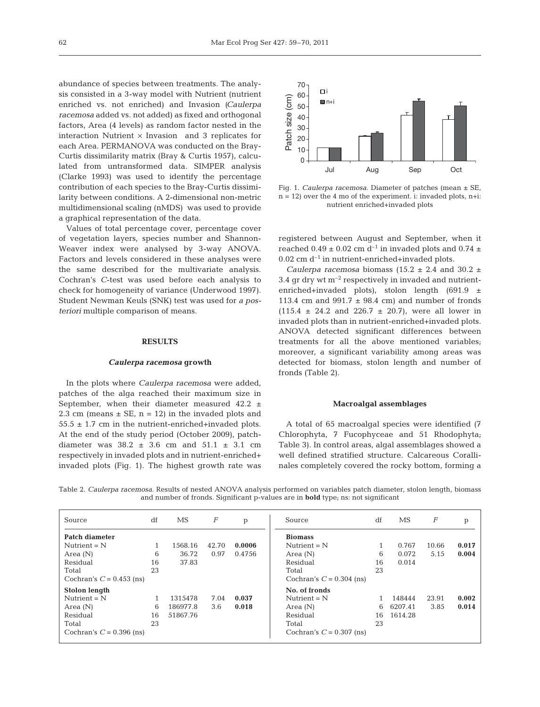abundance of species between treatments. The analysis consisted in a 3-way model with Nutrient (nutrient enriched vs. not enriched) and Invasion *(Caulerpa racemosa* added vs. not added) as fixed and orthogonal factors, Area (4 levels) as random factor nested in the interaction Nutrient  $\times$  Invasion and 3 replicates for each Area. PERMANOVA was conducted on the Bray-Curtis dissimilarity matrix (Bray & Curtis 1957), calculated from untransformed data. SIMPER analysis (Clarke 1993) was used to identify the percentage contribution of each species to the Bray-Curtis dissimilarity between conditions. A 2-dimensional non-metric multidimensional scaling (nMDS) was used to provide a graphical representation of the data.

Values of total percentage cover, percentage cover of vegetation layers, species number and Shannon-Weaver index were analysed by 3-way ANOVA. Factors and levels considered in these analyses were the same described for the multivariate analysis. Cochran's *C*-test was used before each analysis to check for homogeneity of variance (Underwood 1997). Student Newman Keuls (SNK) test was used for *a posteriori* multiple comparison of means.

#### **RESULTS**

#### *Caulerpa racemosa* **growth**

In the plots where *Caulerpa racemosa* were added, patches of the alga reached their maximum size in September, when their diameter measured  $42.2 \pm$ 2.3 cm (means  $\pm$  SE, n = 12) in the invaded plots and  $55.5 \pm 1.7$  cm in the nutrient-enriched+invaded plots. At the end of the study period (October 2009), patchdiameter was  $38.2 \pm 3.6$  cm and  $51.1 \pm 3.1$  cm respectively in invaded plots and in nutrient-enriched+ invaded plots (Fig. 1). The highest growth rate was



Fig. 1. *Caulerpa racemosa.* Diameter of patches (mean ± SE,  $n = 12$ ) over the 4 mo of the experiment. i: invaded plots,  $n+i$ : nutrient enriched+invaded plots

registered between August and September, when it reached  $0.49 \pm 0.02$  cm d<sup>-1</sup> in invaded plots and  $0.74 \pm$  $0.02$  cm  $d^{-1}$  in nutrient-enriched+invaded plots.

*Caulerpa racemosa* biomass (15.2  $\pm$  2.4 and 30.2  $\pm$ 3.4 gr dry wt  $m^{-2}$  respectively in invaded and nutrientenriched+invaded plots), stolon length (691.9  $\pm$ 113.4 cm and  $991.7 \pm 98.4$  cm) and number of fronds  $(115.4 \pm 24.2 \text{ and } 226.7 \pm 20.7)$ , were all lower in invaded plots than in nutrient-enriched+invaded plots. ANOVA detected significant differences between treatments for all the above mentioned variables; moreover, a significant variability among areas was detected for biomass, stolon length and number of fronds (Table 2).

#### **Macroalgal assemblages**

A total of 65 macroalgal species were identified (7 Chlorophyta, 7 Fucophyceae and 51 Rhodophyta; Table 3). In control areas, algal assemblages showed a well defined stratified structure. Calcareous Corallinales completely covered the rocky bottom, forming a

Table 2. *Caulerpa racemosa.* Results of nested ANOVA analysis performed on variables patch diameter, stolon length, biomass and number of fronds. Significant p-values are in **bold** type; ns: not significant

| Source                     | df | MS       | $\boldsymbol{F}$ | p      | Source                     | df | MS      | F     |       |
|----------------------------|----|----------|------------------|--------|----------------------------|----|---------|-------|-------|
| Patch diameter             |    |          |                  |        | <b>Biomass</b>             |    |         |       |       |
| Nutrient $=N$              |    | 1568.16  | 42.70            | 0.0006 | Nutrient $=N$              |    | 0.767   | 10.66 | 0.017 |
| Area $(N)$                 | 6  | 36.72    | 0.97             | 0.4756 | Area $(N)$                 | 6  | 0.072   | 5.15  | 0.004 |
| Residual                   | 16 | 37.83    |                  |        | Residual                   | 16 | 0.014   |       |       |
| Total                      | 23 |          |                  |        | Total                      | 23 |         |       |       |
| Cochran's $C = 0.453$ (ns) |    |          |                  |        | Cochran's $C = 0.304$ (ns) |    |         |       |       |
| Stolon length              |    |          |                  |        | No. of fronds              |    |         |       |       |
| Nutrient $=N$              |    | 1315478  | 7.04             | 0.037  | Nutrient $=N$              |    | 148444  | 23.91 | 0.002 |
| Area $(N)$                 | 6  | 186977.8 | 3.6              | 0.018  | Area $(N)$                 | 6  | 6207.41 | 3.85  | 0.014 |
| Residual                   | 16 | 51867.76 |                  |        | Residual                   | 16 | 1614.28 |       |       |
| Total                      | 23 |          |                  |        | Total                      | 23 |         |       |       |
| Cochran's $C = 0.396$ (ns) |    |          |                  |        | Cochran's $C = 0.307$ (ns) |    |         |       |       |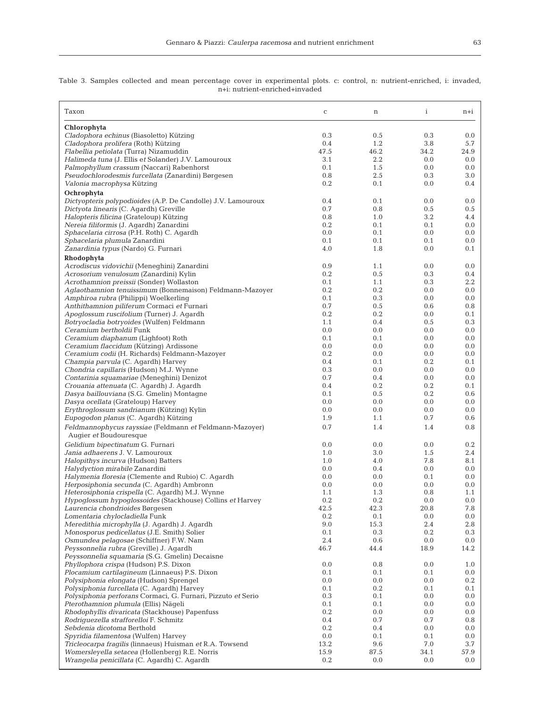Table 3. Samples collected and mean percentage cover in experimental plots. c: control, n: nutrient-enriched, i: invaded, n+i: nutrient-enriched+invaded

| Taxon                                                                                           | $\mathbf C$ | $\mathbf n$ | $\mathbf{i}$ | $n+i$          |
|-------------------------------------------------------------------------------------------------|-------------|-------------|--------------|----------------|
| Chlorophyta                                                                                     |             |             |              |                |
| Cladophora echinus (Biasoletto) Kützing                                                         | 0.3         | 0.5         | 0.3          | 0.0            |
| Cladophora prolifera (Roth) Kützing                                                             | 0.4         | 1.2         | 3.8          | 5.7            |
| Flabellia petiolata (Turra) Nizamuddin                                                          | 47.5        | 46.2        | 34.2         | 24.9           |
| Halimeda tuna (J. Ellis et Solander) J.V. Lamouroux                                             | 3.1<br>0.1  | 2.2<br>1.5  | 0.0<br>0.0   | 0.0<br>0.0     |
| Palmophyllum crassum (Naccari) Rabenhorst<br>Pseudochlorodesmis furcellata (Zanardini) Børgesen | 0.8         | 2.5         | 0.3          | 3.0            |
| Valonia macrophysa Kützing                                                                      | 0.2         | 0.1         | 0.0          | 0.4            |
| Ochrophyta                                                                                      |             |             |              |                |
| Dictyopteris polypodioides (A.P. De Candolle) J.V. Lamouroux                                    | 0.4         | 0.1         | 0.0          | 0.0            |
| Dictyota linearis (C. Agardh) Greville                                                          | 0.7         | 0.8         | 0.5          | 0.5            |
| Halopteris filicina (Grateloup) Kützing                                                         | 0.8         | 1.0         | 3.2          | 4.4            |
| Nereia filiformis (J. Agardh) Zanardini                                                         | 0.2         | 0.1         | 0.1          | 0.0            |
| Sphacelaria cirrosa (P.H. Roth) C. Agardh                                                       | 0.0         | 0.1         | 0.0          | 0.0            |
| Sphacelaria plumula Zanardini                                                                   | 0.1         | 0.1         | 0.1          | 0.0            |
| Zanardinia typus (Nardo) G. Furnari                                                             | 4.0         | 1.8         | 0.0          | 0.1            |
| Rhodophyta                                                                                      |             |             |              |                |
| Acrodiscus vidovichii (Meneghini) Zanardini                                                     | 0.9         | 1.1         | 0.0          | 0.0            |
| Acrosorium venulosum (Zanardini) Kylin                                                          | 0.2         | 0.5         | 0.3          | 0.4            |
| Acrothamnion preissii (Sonder) Wollaston                                                        | 0.1         | 1.1         | 0.3          | 2.2            |
| Aglaothamnion tenuissimum (Bonnemaison) Feldmann-Mazoyer                                        | 0.2         | 0.2         | 0.0          | 0.0            |
| Amphiroa rubra (Philippi) Woelkerling                                                           | 0.1         | 0.3         | 0.0          | 0.0            |
| Anthithamnion piliferum Cormaci et Furnari<br>Apoglossum ruscifolium (Turner) J. Agardh         | 0.7<br>0.2  | 0.5<br>0.2  | 0.6<br>0.0   | 0.8<br>0.1     |
| Botryocladia botryoides (Wulfen) Feldmann                                                       | 1.1         | 0.4         | 0.5          | 0.3            |
| Ceramium bertholdii Funk                                                                        | 0.0         | 0.0         | 0.0          | 0.0            |
| Ceramium diaphanum (Lighfoot) Roth                                                              | 0.1         | 0.1         | 0.0          | 0.0            |
| Ceramium flaccidum (Kützing) Ardissone                                                          | 0.0         | 0.0         | 0.0          | 0.0            |
| Ceramium codii (H. Richards) Feldmann-Mazoyer                                                   | 0.2         | 0.0         | 0.0          | 0.0            |
| Champia parvula (C. Agardh) Harvey                                                              | 0.4         | 0.1         | 0.2          | 0.1            |
| Chondria capillaris (Hudson) M.J. Wynne                                                         | 0.3         | 0.0         | 0.0          | 0.0            |
| Contarinia squamariae (Meneghini) Denizot                                                       | 0.7         | 0.4         | 0.0          | 0.0            |
| <i>Crouania attenuata</i> (C. Agardh) J. Agardh                                                 | 0.4         | 0.2         | 0.2          | 0.1            |
| Dasya baillouviana (S.G. Gmelin) Montagne                                                       | 0.1         | 0.5         | 0.2          | 0.6            |
| Dasya ocellata (Grateloup) Harvey                                                               | 0.0         | 0.0         | 0.0          | 0.0            |
| <i>Erythroglossum sandrianum</i> (Kützing) Kylin<br>Eupogodon planus (C. Agardh) Kützing        | 0.0<br>1.9  | 0.0<br>1.1  | 0.0<br>0.7   | 0.0<br>0.6     |
| Feldmannophycus rayssiae (Feldmann et Feldmann-Mazoyer)                                         | 0.7         | 1.4         | 1.4          | 0.8            |
| Augier et Boudouresque                                                                          |             |             |              |                |
| Gelidium bipectinatum G. Furnari                                                                | 0.0         | 0.0         | 0.0          | 0.2            |
| Jania adhaerens J. V. Lamouroux                                                                 | 1.0         | 3.0         | 1.5          | 2.4            |
| Halopithys incurva (Hudson) Batters                                                             | 1.0         | 4.0         | 7.8          | 8.1            |
| Halydyction mirabile Zanardini                                                                  | 0.0         | 0.4         | 0.0          | 0.0            |
| Halymenia floresia (Clemente and Rubio) C. Agardh<br>Herposiphonia secunda (C. Aqardh) Ambronn  | 0.0<br>0.0  | 0.0<br>0.0  | 0.1<br>0.0   | 0.0<br>0.0     |
| Heterosiphonia crispella (C. Agardh) M.J. Wynne                                                 | 1.1         | 1.3         | 0.8          | 1.1            |
| Hypoglossum hypoglossoides (Stackhouse) Collins et Harvey                                       | $0.2\,$     | $0.2\,$     | $0.0\,$      | $0.0\,$        |
| Laurencia chondrioides Børgesen                                                                 | 42.5        | 42.3        | 20.8         | 7.8            |
| Lomentaria chylocladiella Funk                                                                  | 0.2         | 0.1         | 0.0          | 0.0            |
| Meredithia microphylla (J. Aqardh) J. Aqardh                                                    | 9.0         | 15.3        | 2.4          | 2.8            |
| <i>Monosporus pedicellatus</i> (J.E. Smith) Solier                                              | 0.1         | 0.3         | 0.2          | 0.3            |
| Osmundea pelagosae (Schiffner) F.W. Nam                                                         | 2.4         | 0.6         | 0.0          | 0.0            |
| Peyssonnelia rubra (Greville) J. Agardh                                                         | 46.7        | 44.4        | 18.9         | 14.2           |
| Peyssonnelia squamaria (S.G. Gmelin) Decaisne                                                   |             |             |              |                |
| Phyllophora crispa (Hudson) P.S. Dixon                                                          | 0.0         | 0.8         | 0.0          | 1.0            |
| <i>Plocamium cartilagineum (Linnaeus) P.S. Dixon</i>                                            | 0.1         | 0.1         | 0.1          | 0.0            |
| Polysiphonia elongata (Hudson) Sprengel<br>Polysiphonia furcellata (C. Agardh) Harvey           | 0.0<br>0.1  | 0.0<br>0.2  | 0.0<br>0.1   | $0.2\,$<br>0.1 |
| Polysiphonia perforans Cormaci, G. Furnari, Pizzuto et Serio                                    | 0.3         | 0.1         | 0.0          | 0.0            |
| Pterothamnion plumula (Ellis) Nägeli                                                            | 0.1         | 0.1         | 0.0          | 0.0            |
| Rhodophyllis divaricata (Stackhouse) Papenfuss                                                  | 0.2         | 0.0         | 0.0          | 0.0            |
| Rodriguezella strafforelloi F. Schmitz                                                          | 0.4         | 0.7         | 0.7          | 0.8            |
| Sebdenia dicotoma Berthold                                                                      | 0.2         | 0.4         | 0.0          | 0.0            |
| <i>Spyridia filamentosa</i> (Wulfen) Harvey                                                     | $0.0\,$     | 0.1         | 0.1          | 0.0            |
| Tricleocarpa fragilis (linnaeus) Huisman et R.A. Towsend                                        | 13.2        | 9.6         | 7.0          | 3.7            |
| Womersleyella setacea (Hollenberg) R.E. Norris                                                  | 15.9        | 87.5        | 34.1         | 57.9           |
| Wrangelia penicillata (C. Agardh) C. Agardh                                                     | 0.2         | 0.0         | 0.0          | 0.0            |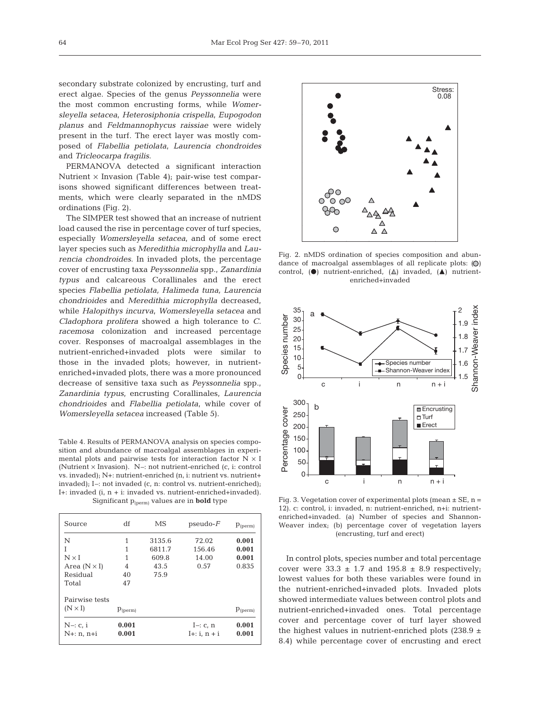secondary substrate colonized by encrusting, turf and erect algae. Species of the genus *Peyssonnelia* were the most common encrusting forms, while *Womersleyella setacea*, *Heterosiphonia crispella*, *Eupogodon planus* and *Feldmannophycus raissiae* were widely present in the turf. The erect layer was mostly composed of *Flabellia petiolata*, *Laurencia chondroides* and *Tricleocarpa fragilis*.

PERMANOVA detected a significant interaction Nutrient  $\times$  Invasion (Table 4); pair-wise test comparisons showed significant differences between treatments, which were clearly separated in the nMDS ordinations (Fig. 2).

The SIMPER test showed that an increase of nutrient load caused the rise in percentage cover of turf species, especially *Womersleyella setacea*, and of some erect layer species such as *Meredithia microphylla* and *Laurencia chondroides*. In invaded plots, the percentage cover of encrusting taxa *Peyssonnelia* spp., *Zanardinia typus* and calcareous Corallinales and the erect species *Flabellia petiolata, Halimeda tuna, Laurencia chondrioides* and *Meredithia microphylla* decreased, while *Halopithys incurva*, *Womersleyella setacea* and *Cladophora prolifera* showed a high tolerance to *C*. *race mosa* colonization and increased percentage cover. Responses of macroalgal assemblages in the nutrient-enriched+invaded plots were similar to those in the invaded plots; however, in nutrientenriched+invaded plots, there was a more pronounced decrease of sensitive taxa such as *Peyssonnelia* spp., *Zanardinia typus*, encrusting Corallinales, *Laurencia chondrioides* and *Flabellia petiolata*, while cover of *Womersleyella setacea* increased (Table 5).

Table 4. Results of PERMANOVA analysis on species composition and abundance of macroalgal assemblages in experimental plots and pairwise tests for interaction factor  $N \times I$ (Nutrient  $\times$  Invasion). N–: not nutrient-enriched (c, i: control vs. invaded); N+: nutrient-enriched (n, i: nutrient vs. nutrient+ invaded); I–: not invaded (c, n: control vs. nutrient-enriched); I+: invaded (i, n + i: invaded vs. nutrient-enriched+invaded). Significant p(perm) values are in **bold** type

| Source                   | df             | MS     | $pseudo-F$               | $p_{(perm)}$   |
|--------------------------|----------------|--------|--------------------------|----------------|
| N                        | 1              | 3135.6 | 72.02                    | 0.001          |
| T                        | 1              | 6811.7 | 156.46                   | 0.001          |
| $N \times I$             | 1              | 609.8  | 14.00                    | 0.001          |
| Area $(N \times I)$      | 4              | 43.5   | 0.57                     | 0.835          |
| Residual                 | 40             | 75.9   |                          |                |
| Total                    | 47             |        |                          |                |
| Pairwise tests           |                |        |                          |                |
| $(N \times I)$           | $p_{(perm)}$   |        |                          | $p_{(perm)}$   |
| $N-: c, i$<br>N+: n, n+i | 0.001<br>0.001 |        | I-: c, n<br>I+: i, n + i | 0.001<br>0.001 |



Fig. 2. nMDS ordination of species composition and abundance of macroalgal assemblages of all replicate plots:  $\left(\bigcirc\right)$ control,  $\left( \bullet \right)$  nutrient-enriched,  $\left( \triangle \right)$  invaded,  $\left( \triangle \right)$  nutrientenriched+invaded



Fig. 3. Vegetation cover of experimental plots (mean  $\pm$  SE, n = 12). c: control, i: invaded, n: nutrient-enriched, n+i: nutrientenriched+invaded. (a) Number of species and Shannon-Weaver index; (b) percentage cover of vegetation layers (encrusting, turf and erect)

In control plots, species number and total percentage cover were  $33.3 \pm 1.7$  and  $195.8 \pm 8.9$  respectively; lowest values for both these variables were found in the nutrient-enriched+invaded plots. Invaded plots showed intermediate values between control plots and nutrient-enriched+invaded ones. Total percentage cover and percentage cover of turf layer showed the highest values in nutrient-enriched plots (238.9  $\pm$ 8.4) while percentage cover of encrusting and erect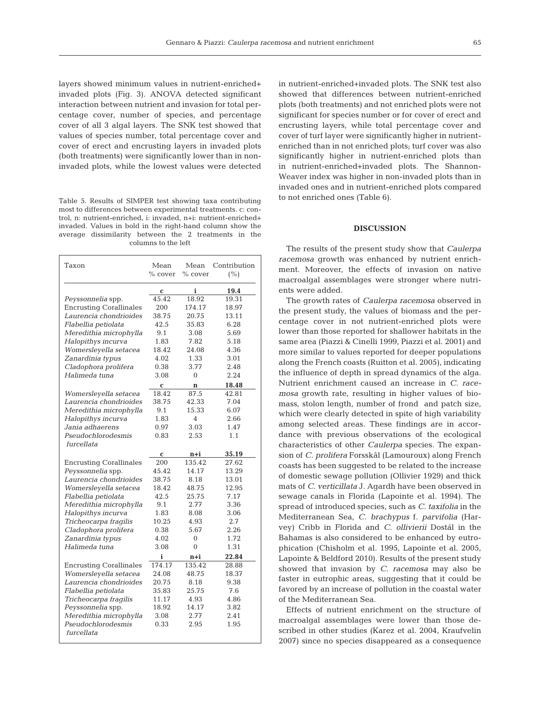layers showed minimum values in nutrient-enriched+ invaded plots (Fig. 3). ANOVA detected significant interaction between nutrient and invasion for total percentage cover, number of species, and percentage cover of all 3 algal layers. The SNK test showed that values of species number, total percentage cover and cover of erect and encrusting layers in invaded plots (both treatments) were significantly lower than in noninvaded plots, while the lowest values were detected

Table 5. Results of SIMPER test showing taxa contributing most to differences between experimental treatments. c: control, n: nutrient-enriched, i: invaded, n+i: nutrient-enriched+ invaded. Values in bold in the right-hand column show the average dissimilarity between the 2 treatments in the columns to the left

| Taxon                          | Mean<br>% cover | Mean<br>% cover | Contribution<br>(%) |
|--------------------------------|-----------------|-----------------|---------------------|
|                                | C               | i               | 19.4                |
| Peyssonnelia spp.              | 45.42           | 18.92           | 19.31               |
| <b>Encrusting Corallinales</b> | 200             | 174.17          | 18.97               |
| Laurencia chondrioides         | 38.75           | 20.75           | 13.11               |
| Flabellia petiolata            | 42.5            | 35.83           | 6.28                |
| Meredithia microphylla         | 9.1             | 3.08            | 5.69                |
| Halopithys incurva             | 1.83            | 7.82            | 5.18                |
| Womersleyella setacea          | 18.42           | 24.08           | 4.36                |
| Zanardinia typus               | 4.02            | 1.33            | 3.01                |
| Cladophora prolifera           | 0.38            | 3.77            | 2.48                |
| Halimeda tuna                  | 3.08            | $\theta$        | 2.24                |
|                                | C               | $\mathbf n$     | 18.48               |
| Womersleyella setacea          | 18.42           | 87.5            | 42.81               |
| Laurencia chondrioides         | 38.75           | 42.33           | 7.04                |
| Meredithia microphylla         | 9.1             | 15.33           | 6.07                |
| Halopithys incurva             | 1.83            | 4               | 2.66                |
| Jania adhaerens                | 0.97            | 3.03            | 1.47                |
| Pseudochlorodesmis             | 0.83            | 2.53            | 1.1                 |
| furcellata                     |                 |                 |                     |
|                                | C               | n+i             | 35.19               |
| <b>Encrusting Corallinales</b> | 200             | 135.42          | 27.62               |
| Peyssonnelia spp.              | 45.42           | 14.17           | 13.29               |
| Laurencia chondrioides         | 38.75           | 8.18            | 13.01               |
| Womersleyella setacea          | 18.42           | 48.75           | 12.95               |
| Flabellia petiolata            | 42.5            | 25.75           | 7.17                |
| Meredithia microphylla         | 9.1             | 2.77            | 3.36                |
| Halopithys incurva             | 1.83            | 8.08            | 3.06                |
| Tricheocarpa fragilis          | 10.25           | 4.93            | 2.7                 |
| Cladophora prolifera           | 0.38            | 5.67            | 2.26                |
| Zanardinia typus               | 4.02            | $\Omega$        | 1.72                |
| Halimeda tuna                  | 3.08            | $\overline{0}$  | 1.31                |
|                                | i               | n+i             | 22.84               |
| <b>Encrusting Corallinales</b> | 174.17          | 135.42          | 28.88               |
| Womersleyella setacea          | 24.08           | 48.75           | 18.37               |
| Laurencia chondrioides         | 20.75           | 8.18            | 9.38                |
| Flabellia petiolata            | 35.83           | 25.75           | 7.6                 |
| Tricheocarpa fragilis          | 11.17           | 4.93            | 4.86                |
| Peyssonnelia spp.              | 18.92           | 14.17           | 3.82                |
| Meredithia microphylla         | 3.08            | 2.77            | 2.41                |
| Pseudochlorodesmis             | 0.33            | 2.95            | 1.95                |
| furcellata                     |                 |                 |                     |

in nutrient-enriched+invaded plots. The SNK test also showed that differences between nutrient-enriched plots (both treatments) and not enriched plots were not significant for species number or for cover of erect and encrusting layers, while total percentage cover and cover of turf layer were significantly higher in nutrientenriched than in not enriched plots; turf cover was also significantly higher in nutrient-enriched plots than in nutrient-enriched+invaded plots. The Shannon-Weaver index was higher in non-invaded plots than in invaded ones and in nutrient-enriched plots compared to not enriched ones (Table 6).

### **DISCUSSION**

The results of the present study show that *Caulerpa racemosa* growth was enhanced by nutrient enrichment. Moreover, the effects of invasion on native macroalgal assemblages were stronger where nutrients were added.

The growth rates of *Caulerpa racemosa* observed in the present study, the values of biomass and the percentage cover in not nutrient-enriched plots were lower than those reported for shallower habitats in the same area (Piazzi & Cinelli 1999, Piazzi et al. 2001) and more similar to values reported for deeper populations along the French coasts (Ruitton et al. 2005), indicating the influence of depth in spread dynamics of the alga. Nutrient enrichment caused an increase in *C. racemosa* growth rate, resulting in higher values of biomass, stolon length, number of frond and patch size, which were clearly detected in spite of high variability among selected areas. These findings are in accordance with previous observations of the ecological characteristics of other *Caulerpa* species. The expansion of *C. prolifera* Forsskål (Lamouroux) along French coasts has been suggested to be related to the increase of domestic sewage pollution (Ollivier 1929) and thick mats of *C. verticillata* J. Agardh have been observed in sewage canals in Florida (Lapointe et al. 1994). The spread of introduced species, such as *C. taxifolia* in the Mediterranean Sea, *C. brachypus* f. *parvifolia* (Harvey) Cribb in Florida and *C. ollivierii* Dostál in the Bahamas is also considered to be enhanced by eutrophication (Chisholm et al. 1995, Lapointe et al. 2005, Lapointe & Beldford 2010). Results of the present study showed that invasion by *C. racemosa* may also be faster in eutrophic areas, suggesting that it could be favored by an increase of pollution in the coastal water of the Mediterranean Sea.

Effects of nutrient enrichment on the structure of macroalgal assemblages were lower than those described in other studies (Karez et al. 2004, Kraufvelin 2007) since no species disappeared as a consequence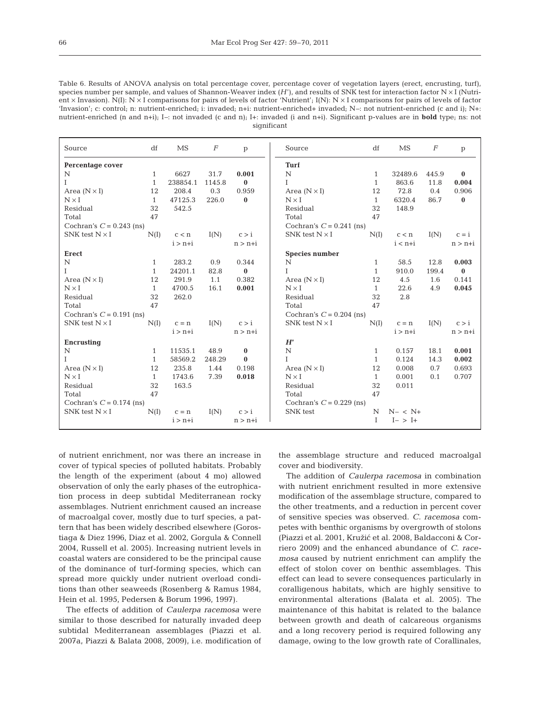| Table 6. Results of ANOVA analysis on total percentage cover, percentage cover of vegetation layers (erect, encrusting, turf),             |
|--------------------------------------------------------------------------------------------------------------------------------------------|
| species number per sample, and values of Shannon-Weaver index $(H')$ , and results of SNK test for interaction factor $N \times I$ (Nutri- |
| ent × Invasion). N(I): N × I comparisons for pairs of levels of factor 'Nutrient'; I(N): N × I comparisons for pairs of levels of factor   |
| 'Invasion'; c: control; n: nutrient-enriched; i: invaded; $n+i$ : nutrient-enriched+ invaded; N-: not nutrient-enriched (c and i); N+:     |
| nutrient-enriched (n and n+i); I-: not invaded (c and n); I+: invaded (i and n+i). Significant p-values are in <b>bold</b> type; ns: not   |
| significant                                                                                                                                |

| Source                     | df           | MS        | $\boldsymbol{F}$ | p         | Source                     | df           | MS          | $\boldsymbol{F}$ | p            |
|----------------------------|--------------|-----------|------------------|-----------|----------------------------|--------------|-------------|------------------|--------------|
| Percentage cover           |              |           |                  |           | Turf                       |              |             |                  |              |
| N                          | $\mathbf{1}$ | 6627      | 31.7             | 0.001     | N                          | $\mathbf{1}$ | 32489.6     | 445.9            | $\bf{0}$     |
| L                          | $\mathbf{1}$ | 238854.1  | 1145.8           | $\bf{0}$  | L                          | $\mathbf{1}$ | 863.6       | 11.8             | 0.004        |
| Area $(N \times I)$        | 12           | 208.4     | 0.3              | 0.959     | Area $(N \times I)$        | 12           | 72.8        | 0.4              | 0.906        |
| $N \times I$               | $\mathbf{1}$ | 47125.3   | 226.0            | $\bf{0}$  | $N \times I$               | $\mathbf{1}$ | 6320.4      | 86.7             | $\bf{0}$     |
| Residual                   | 32           | 542.5     |                  |           | Residual                   | 32           | 148.9       |                  |              |
| Total                      | 47           |           |                  |           | Total                      | 47           |             |                  |              |
| Cochran's $C = 0.243$ (ns) |              |           |                  |           | Cochran's $C = 0.241$ (ns) |              |             |                  |              |
| SNK test $N \times I$      | N(I)         | c < n     | I(N)             | c > i     | SNK test $N \times I$      | N(I)         | c < n       | I(N)             | $c = i$      |
|                            |              | $i > n+i$ |                  | $n > n+i$ |                            |              | $i < n+i$   |                  | $n > n+i$    |
| Erect                      |              |           |                  |           | <b>Species number</b>      |              |             |                  |              |
| N                          | 1            | 283.2     | 0.9              | 0.344     | N                          | $\mathbf{1}$ | 58.5        | 12.8             | 0.003        |
| $\mathbf I$                | $\mathbf{1}$ | 24201.1   | 82.8             | $\bf{0}$  | T                          | $\mathbf{1}$ | 910.0       | 199.4            | $\mathbf{0}$ |
| Area $(N \times I)$        | 12           | 291.9     | 1.1              | 0.382     | Area $(N \times I)$        | 12           | 4.5         | 1.6              | 0.141        |
| $N \times I$               | 1            | 4700.5    | 16.1             | 0.001     | $N \times I$               | $\mathbf{1}$ | 22.6        | 4.9              | 0.045        |
| Residual                   | 32           | 262.0     |                  |           | Residual                   | 32           | 2.8         |                  |              |
| Total                      | 47           |           |                  |           | Total                      | 47           |             |                  |              |
| Cochran's $C = 0.191$ (ns) |              |           |                  |           | Cochran's $C = 0.204$ (ns) |              |             |                  |              |
| SNK test $N \times I$      | N(I)         | $c = n$   | I(N)             | c > i     | SNK test $N \times I$      | N(I)         | $c = n$     | I(N)             | c > i        |
|                            |              | $i > n+i$ |                  | $n > n+i$ |                            |              | $i > n+i$   |                  | $n > n+i$    |
| Encrusting                 |              |           |                  |           | H'                         |              |             |                  |              |
| $\rm N$                    | 1            | 11535.1   | 48.9             | $\bf{0}$  | $\mathbf N$                | $\mathbf{1}$ | 0.157       | 18.1             | 0.001        |
| T                          | 1            | 58569.2   | 248.29           | $\bf{0}$  | T                          | $\mathbf{1}$ | 0.124       | 14.3             | 0.002        |
| Area $(N \times I)$        | 12           | 235.8     | 1.44             | 0.198     | Area $(N \times I)$        | 12           | 0.008       | 0.7              | 0.693        |
| $N \times I$               | $\mathbf{1}$ | 1743.6    | 7.39             | 0.018     | $N \times I$               | $\mathbf{1}$ | 0.001       | 0.1              | 0.707        |
| Residual                   | 32           | 163.5     |                  |           | Residual                   | 32           | 0.011       |                  |              |
| Total                      | 47           |           |                  |           | Total                      | 47           |             |                  |              |
| Cochran's $C = 0.174$ (ns) |              |           |                  |           | Cochran's $C = 0.229$ (ns) |              |             |                  |              |
| SNK test $N \times I$      | N(I)         | $c = n$   | I(N)             | c > i     | <b>SNK</b> test            | N            | $N- < N+$   |                  |              |
|                            |              | $i > n+i$ |                  | $n > n+i$ |                            | T            | $I - > I +$ |                  |              |

of nutrient enrichment, nor was there an increase in cover of typical species of polluted habitats. Probably the length of the experiment (about 4 mo) allowed observation of only the early phases of the eutrophication process in deep subtidal Mediterranean rocky assemblages. Nutrient enrichment caused an increase of macroalgal cover, mostly due to turf species, a pattern that has been widely described elsewhere (Gorostiaga & Diez 1996, Diaz et al. 2002, Gorgula & Connell 2004, Russell et al. 2005). Increasing nutrient levels in coastal waters are considered to be the principal cause of the dominance of turf-forming species, which can spread more quickly under nutrient overload conditions than other seaweeds (Rosenberg & Ramus 1984, Hein et al. 1995, Pedersen & Borum 1996, 1997).

The effects of addition of *Caulerpa racemosa* were similar to those described for naturally invaded deep subtidal Mediterranean assemblages (Piazzi et al. 2007a, Piazzi & Balata 2008, 2009), i.e. modification of the assemblage structure and reduced macroalgal cover and biodiversity.

The addition of *Caulerpa racemosa* in combination with nutrient enrichment resulted in more extensive modification of the assemblage structure, compared to the other treatments, and a reduction in percent cover of sensitive species was observed. *C. racemosa* competes with benthic organisms by overgrowth of stolons (Piazzi et al. 2001, Kružić et al. 2008, Baldacconi & Corriero 2009) and the enhanced abundance of *C. racemosa* caused by nutrient enrichment can amplify the effect of stolon cover on benthic assemblages. This effect can lead to severe consequences particularly in coralligenous habitats, which are highly sensitive to environmental alterations (Balata et al. 2005). The maintenance of this habitat is related to the balance between growth and death of calcareous organisms and a long recovery period is required following any damage, owing to the low growth rate of Corallinales,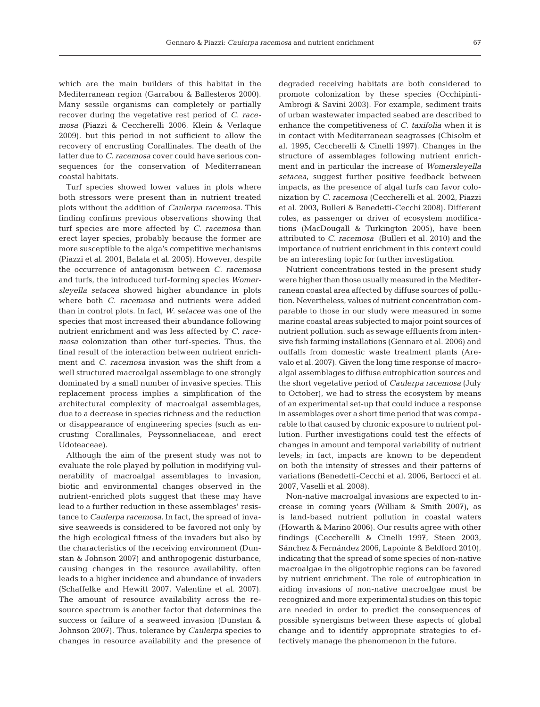which are the main builders of this habitat in the Mediterranean region (Garrabou & Ballesteros 2000). Many sessile organisms can completely or partially recover during the vegetative rest period of *C. racemosa* (Piazzi & Ceccherelli 2006, Klein & Verlaque 2009), but this period in not sufficient to allow the recovery of encrusting Corallinales. The death of the latter due to *C. racemosa* cover could have serious consequences for the conservation of Mediterranean coastal habitats.

Turf species showed lower values in plots where both stressors were present than in nutrient treated plots without the addition of *Caulerpa racemosa.* This finding confirms previous observations showing that turf species are more affected by *C. racemosa* than erect layer species, probably because the former are more susceptible to the alga's competitive mechanisms (Piazzi et al. 2001, Balata et al. 2005). However, despite the occurrence of antagonism between *C. racemosa* and turfs, the introduced turf-forming species *Womersleyella setacea* showed higher abundance in plots where both *C. racemosa* and nutrients were added than in control plots. In fact, *W. setacea* was one of the species that most increased their abundance following nutrient enrichment and was less affected by *C. racemosa* colonization than other turf-species. Thus, the final result of the interaction between nutrient enrichment and *C. racemosa* invasion was the shift from a well structured macroalgal assemblage to one strongly dominated by a small number of invasive species. This replacement process implies a simplification of the architectural complexity of macroalgal assemblages, due to a decrease in species richness and the reduction or disappearance of engineering species (such as en crusting Corallinales, Peyssonneliaceae, and erect Udoteaceae).

Although the aim of the present study was not to evaluate the role played by pollution in modifying vulnerability of macroalgal assemblages to invasion, biotic and environmental changes observed in the nutrient-enriched plots suggest that these may have lead to a further reduction in these assemblages' resistance to *Caulerpa racemosa*. In fact, the spread of invasive seaweeds is considered to be favored not only by the high ecological fitness of the invaders but also by the characteristics of the receiving environment (Dun s tan & Johnson 2007) and anthropogenic disturbance, causing changes in the resource availability, often leads to a higher incidence and abundance of invaders (Schaffelke and Hewitt 2007, Valentine et al. 2007). The amount of resource availability across the resource spectrum is another factor that determines the success or failure of a seaweed invasion (Dunstan & Johnson 2007). Thus, tolerance by *Caulerpa* species to changes in resource availability and the presence of degraded receiving habitats are both considered to promote colonization by these species (Occhipinti-Ambrogi & Savini 2003). For example, sediment traits of urban wastewater impacted seabed are described to enhance the competitiveness of *C. taxifolia* when it is in contact with Mediterranean seagrasses (Chisolm et al. 1995, Ceccherelli & Cinelli 1997). Changes in the structure of assemblages following nutrient enrichment and in particular the increase of *Womersleyella seta cea*, suggest further positive feedback between im pacts, as the presence of algal turfs can favor colonization by *C. racemosa* (Ceccherelli et al. 2002, Piazzi et al. 2003, Bulleri & Benedetti-Cecchi 2008). Different roles, as passenger or driver of ecosystem modifications (MacDougall & Turkington 2005), have been attributed to *C. racemosa* (Bulleri et al. 2010) and the importance of nutrient enrichment in this context could be an interesting topic for further investigation.

Nutrient concentrations tested in the present study were higher than those usually measured in the Mediterranean coastal area affected by diffuse sources of pollution. Nevertheless, values of nutrient concentration comparable to those in our study were measured in some marine coastal areas subjected to major point sources of nutrient pollution, such as sewage effluents from intensive fish farming installations (Gennaro et al. 2006) and outfalls from domestic waste treatment plants (Arevalo et al. 2007). Given the long time response of macroalgal assemblages to diffuse eutrophication sources and the short vegetative period of *Caulerpa racemosa* (July to October), we had to stress the ecosystem by means of an experimental set-up that could induce a response in assemblages over a short time period that was comparable to that caused by chronic exposure to nutrient pollution. Further investigations could test the effects of changes in amount and temporal variability of nutrient levels; in fact, impacts are known to be dependent on both the intensity of stresses and their patterns of variations (Benedetti-Cecchi et al. 2006, Bertocci et al. 2007, Vaselli et al. 2008).

Non-native macroalgal invasions are expected to increase in coming years (William & Smith 2007), as is land-based nutrient pollution in coastal waters (Howarth & Marino 2006). Our results agree with other findings (Ceccherelli & Cinelli 1997, Steen 2003, Sánchez & Fernández 2006, Lapointe & Beldford 2010), indicating that the spread of some species of non- native macroalgae in the oligotrophic regions can be favored by nutrient enrichment. The role of eutrophication in aiding invasions of non-native macroalgae must be recognized and more experimental studies on this topic are needed in order to predict the consequences of possible synergisms between these aspects of global change and to identify appropriate strategies to ef fectively manage the phenomenon in the future.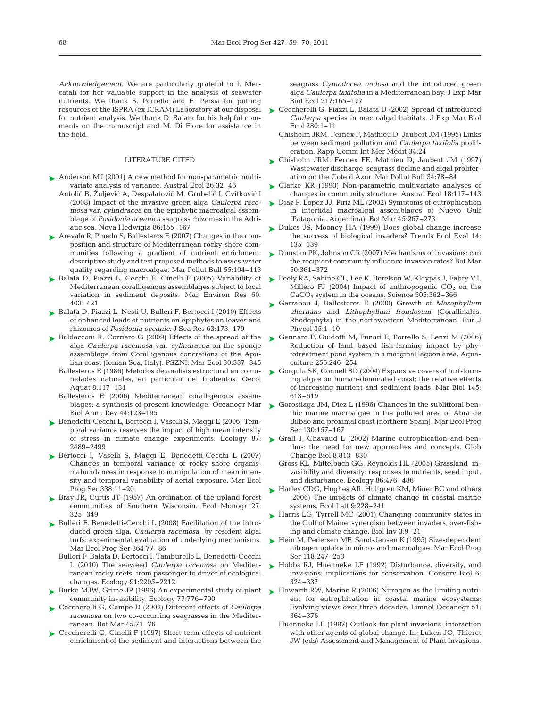*Acknowledgement.* We are particularly grateful to I. Mercatali for her valuable support in the analysis of seawater nutrients. We thank S. Porrello and E. Persia for putting resources of the ISPRA (ex ICRAM) Laboratory at our disposal for nutrient analysis. We thank D. Balata for his helpful comments on the manuscript and M. Di Fiore for assistance in the field.

#### LITERATURE CITED

- ► Anderson MJ (2001) A new method for non-parametric multivariate analysis of variance. Austral Ecol 26:32–46
	- Antolić B, Žuljević A, Despalatović M, Grubelić I, Cvitković I (2008) Impact of the invasive green alga *Caulerpa racemosa* var. *cylindracea* on the epiphytic macroalgal assemblage of *Posidonia oceanica* seagrass rhizomes in the Adriatic sea. Nova Hedwigia 86:155–167
- Arevalo R, Pinedo S, Ballesteros E (2007) Changes in the com-➤ position and structure of Mediterranean rocky-shore communities following a gradient of nutrient enrichment: descriptive study and test proposed methods to asses water quality regarding macroalgae. Mar Pollut Bull 55: 104–113
- ► Balata D, Piazzi L, Cecchi E, Cinelli F (2005) Variability of Mediterranean coralligenous assemblages subject to local variation in sediment deposits. Mar Environ Res 60: 403–421
- ► Balata D, Piazzi L, Nesti U, Bulleri F, Bertocci I (2010) Effects of enhanced loads of nutrients on epiphytes on leaves and rhizomes of *Posidonia oceanic.* J Sea Res 63:173–179
- ► Baldacconi R, Corriero G (2009) Effects of the spread of the alga *Caulerpa racemosa* var. *cylindracea* on the sponge assemblage from Coralligenous concretions of the Apulian coast (Ionian Sea, Italy). PSZNI: Mar Ecol 30:337–345
	- Ballesteros E (1986) Metodos de analisis estructural en comunidades naturales, en particular del fitobentos. Oecol Aquat 8:117–131
	- Ballesteros E (2006) Mediterranean coralligenous assemblages: a synthesis of present knowledge. Oceanogr Mar Biol Annu Rev 44:123–195
- Benedetti-Cecchi L, Bertocci I, Vaselli S, Maggi E (2006) Tem-➤ poral variance reserves the impact of high mean intensity of stress in climate change experiments. Ecology 87: 2489–2499
- Bertocci I, Vaselli S, Maggi E, Benedetti-Cecchi L (2007) ➤ Changes in temporal variance of rocky shore organismabundances in response to manipulation of mean intensity and temporal variability of aerial exposure. Mar Ecol Prog Ser 338:11–20
- ► Bray JR, Curtis JT (1957) An ordination of the upland forest communities of Southern Wisconsin. Ecol Monogr 27: 325–349
- ► Bulleri F, Benedetti-Cecchi L (2008) Facilitation of the introduced green alga, *Caulerpa racemosa*, by resident algal turfs: experimental evaluation of underlying mechanisms. Mar Ecol Prog Ser 364:77–86
	- Bulleri F, Balata D, Bertocci I, Tamburello L, Benedetti-Cecchi L (2010) The seaweed *Caulerpa racemosa* on Mediterranean rocky reefs: from passenger to driver of ecological changes. Ecology 91:2205–2212
- ► Burke MJW, Grime JP (1996) An experimental study of plant ► Howarth RW, Marino R (2006) Nitrogen as the limiting nutricommunity invasibility. Ecology 77:776–790
- Ceccherelli G, Campo D (2002) Different effects of *Caulerpa* ➤ *racemosa* on two co-occurring seagrasses in the Mediterranean. Bot Mar 45:71–76
- ▶ Ceccherelli G, Cinelli F (1997) Short-term effects of nutrient enrichment of the sediment and interactions between the

seagrass *Cymodocea nodosa* and the introduced green alga *Caulerpa taxifolia* in a Mediterranean bay. J Exp Mar Biol Ecol 217:165–177

- ► Ceccherelli G, Piazzi L, Balata D (2002) Spread of introduced *Caulerpa* species in macroalgal habitats. J Exp Mar Biol Ecol 280:1–11
	- Chisholm JRM, Fernex F, Mathieu D, Jaubert JM (1995) Links between sediment pollution and *Caulerpa taxifolia* proliferation. Rapp Comm Int Mer Médit 34:24
- ► Chisholm JRM, Fernex FE, Mathieu D, Jaubert JM (1997) Wastewater discharge, seagrass decline and algal proliferation on the Cote d Azur. Mar Pollut Bull 34:78–84
- ► Clarke KR (1993) Non-parametric multivariate analyses of changes in community structure. Austral Ecol 18:117–143
- ► Diaz P, Lopez JJ, Piriz ML (2002) Symptoms of eutrophication in intertidal macroalgal assemblages of Nuevo Gulf (Patagonia, Argentina). Bot Mar 45:267–273
- ► Dukes JS, Mooney HA (1999) Does global change increase the success of biological invaders? Trends Ecol Evol 14: 135–139
- ► Dunstan PK, Johnson CR (2007) Mechanisms of invasions: can the recipient community influence invasion rates? Bot Mar 50:361–372
- ► Feely RA, Sabine CL, Lee K, Berelson W, Kleypas J, Fabry VJ, Millero FJ (2004) Impact of anthropogenic  $CO<sub>2</sub>$  on the CaCO3 system in the oceans. Science 305:362–366
- ► Garrabou J, Ballesteros E (2000) Growth of *Mesophyllum alternans* and *Lithophyllum frondosum* (Corallinales, Rhodophyta) in the northwestern Mediterranean*.* Eur J Phycol 35:1–10
- ► Gennaro P, Guidotti M, Funari E, Porrello S, Lenzi M (2006) Reduction of land based fish-farming impact by phytotreatment pond system in a marginal lagoon area. Aquaculture 256:246–254
- ► Gorgula SK, Connell SD (2004) Expansive covers of turf-forming algae on human-dominated coast: the relative effects of increasing nutrient and sediment loads. Mar Biol 145: 613–619
- ► Gorostiaga JM, Diez L (1996) Changes in the sublittoral benthic marine macroalgae in the polluted area of Abra de Bilbao and proximal coast (northern Spain). Mar Ecol Prog Ser 130:157–167
- ► Grall J, Chavaud L (2002) Marine eutrophication and benthos: the need for new approaches and concepts. Glob Change Biol 8:813–830
	- Gross KL, Mittelbach GG, Reynolds HL (2005) Grassland in vasibility and diversity: responses to nutrients, seed input, and disturbance. Ecology 86:476–486
- ► Harley CDG, Hughes AR, Hultgren KM, Miner BG and others (2006) The impacts of climate change in coastal marine systems. Ecol Lett 9:228–241
- ► Harris LG, Tyrrell MC (2001) Changing community states in the Gulf of Maine: synergism between invaders, over-fishing and climate change. Biol Inv 3:9–21
- ► Hein M, Pedersen MF, Sand-Jensen K (1995) Size-dependent nitrogen uptake in micro- and macroalgae. Mar Ecol Prog Ser 118:247–253
- ► Hobbs RJ, Huenneke LF (1992) Disturbance, diversity, and invasions: implications for conservation. Conserv Biol 6: 324–337
- ent for eutrophication in coastal marine ecosystems: Evolving views over three decades. Limnol Oceanogr 51: 364–376
- Huenneke LF (1997) Outlook for plant invasions: interaction with other agents of global change. In: Luken JO, Thieret JW (eds) Assessment and Management of Plant Invasions.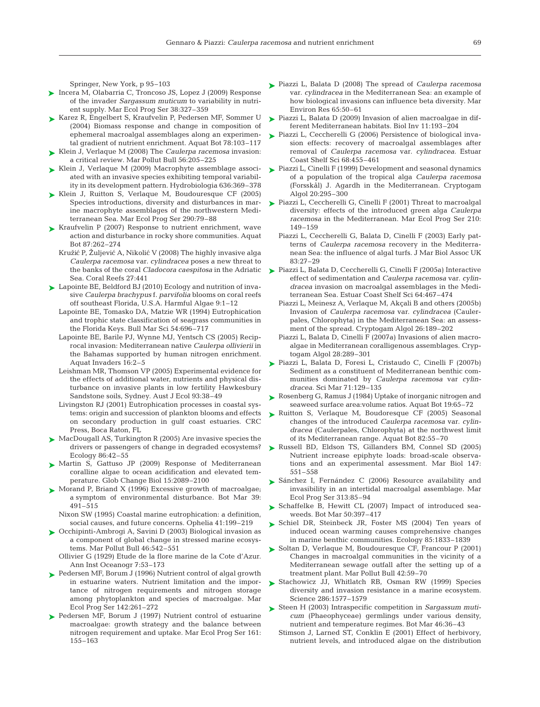Springer, New York, p 95–103

- ► Incera M, Olabarria C, Troncoso JS, Lopez J (2009) Response of the invader *Sargassum muticum* to variability in nutrient supply. Mar Ecol Prog Ser 38:327–359
- ► Karez R, Engelbert S, Kraufvelin P, Pedersen MF, Sommer U (2004) Biomass response and change in composition of ephemeral macroalgal assemblages along an experimental gradient of nutrient enrichment. Aquat Bot 78:103–117
- Klein J, Verlaque M (2008) The *Caulerpa racemosa* invasion: ➤ a critical review. Mar Pollut Bull 56:205–225
- ► Klein J, Verlaque M (2009) Macrophyte assemblage associated with an invasive species exhibiting temporal variability in its development pattern. Hydrobiologia 636:369–378
- ► Klein J, Ruitton S, Verlaque M, Boudouresque CF (2005) Species introductions, diversity and disturbances in marine macrophyte assemblages of the northwestern Mediterranean Sea. Mar Ecol Prog Ser 290:79-88
- ► Kraufvelin P (2007) Response to nutrient enrichment, wave action and disturbance in rocky shore communities. Aquat Bot 87:262–274
	- Kružić P, Žuljević A, Nikolić V (2008) The highly invasive alga *Caulerpa racemosa* var. *cylindracea* poses a new threat to the banks of the coral *Cladocora caespitosa* in the Adriatic Sea. Coral Reefs 27:441
- Lapointe BE, Beldford BJ (2010) Ecology and nutrition of inva-➤ sive *Caulerpa brachypus* f. *parvifolia* blooms on coral reefs off southeast Florida, U.S.A. Harmful Algae 9:1–12
	- Lapointe BE, Tomasko DA, Matzie WR (1994) Eutrophication and trophic state classification of seagrass communities in the Florida Keys. Bull Mar Sci 54:696–717
	- Lapointe BE, Barile PJ, Wynne MJ, Yentsch CS (2005) Reciprocal invasion: Mediterranean native *Caulerpa ollivierii* in the Bahamas supported by human nitrogen enrichment. Aquat Invaders 16:2–5
	- Leishman MR, Thomson VP (2005) Experimental evidence for the effects of additional water, nutrients and physical disturbance on invasive plants in low fertility Hawkesbury Sandstone soils, Sydney. Aust J Ecol 93:38–49
	- Livingston RJ (2001) Eutrophication processes in coastal systems: origin and succession of plankton blooms and effects on secondary production in gulf coast estuaries. CRC Press, Boca Raton, FL
- ► MacDougall AS, Turkington R (2005) Are invasive species the drivers or passengers of change in degraded ecosystems? Ecology 86:42–55
- ▶ Martin S, Gattuso JP (2009) Response of Mediterranean coralline algae to ocean acidification and elevated temperature. Glob Change Biol 15:2089–2100
- ► Morand P, Briand X (1996) Excessive growth of macroalgae; a symptom of environmental disturbance. Bot Mar 39: 491–515
	- Nixon SW (1995) Coastal marine eutrophication: a definition, social causes, and future concerns. Ophelia 41:199–219
- Occhipinti-Ambrogi A, Savini D (2003) Biological invasion as ➤ a component of global change in stressed marine ecosystems. Mar Pollut Bull 46:542–551

Ollivier G (1929) Etude de la flore marine de la Cote d'Azur. Ann Inst Oceanogr 7:53–173

- ▶ Pedersen MF, Borum J (1996) Nutrient control of algal growth in estuarine waters. Nutrient limitation and the importance of nitrogen requirements and nitrogen storage among phytoplankton and species of macroalgae. Mar Ecol Prog Ser 142:261–272
- ▶ Pedersen MF, Borum J (1997) Nutrient control of estuarine macroalgae: growth strategy and the balance between nitrogen requirement and uptake. Mar Ecol Prog Ser 161: 155–163
- Piazzi L, Balata D (2008) The spread of *Caulerpa racemosa* ➤ var. *cylindracea* in the Mediterranean Sea: an example of how biological invasions can influence beta diversity. Mar Environ Res 65:50–61
- Piazzi L, Balata D (2009) Invasion of alien macroalgae in dif-➤ ferent Mediterranean habitats. Biol Inv 11:193–204
- ► Piazzi L, Ceccherelli G (2006) Persistence of biological invasion effects: recovery of macroalgal assemblages after removal of *Caulerpa racemosa* var. *cylindracea.* Estuar Coast Shelf Sci 68:455–461
- Piazzi L, Cinelli F (1999) Development and seasonal dynamics ➤ of a population of the tropical alga *Caulerpa racemosa* (Forsskål) J. Agardh in the Mediterranean. Cryptogam Algol 20:295–300
- ► Piazzi L, Ceccherelli G, Cinelli F (2001) Threat to macroalgal diversity: effects of the introduced green alga *Caulerpa racemosa* in the Mediterranean. Mar Ecol Prog Ser 210: 149–159
	- Piazzi L, Ceccherelli G, Balata D, Cinelli F (2003) Early patterns of *Caulerpa racemosa* recovery in the Mediterranean Sea: the influence of algal turfs. J Mar Biol Assoc UK 83: 27–29
- Piazzi L, Balata D, Ceccherelli G, Cinelli F (2005a) Interactive ➤ effect of sedimentation and *Caulerpa racemosa* var. *cylin*  dracea invasion on macroalgal assemblages in the Mediterranean Sea. Estuar Coast Shelf Sci 64:467–474
	- Piazzi L, Meinesz A, Verlaque M, Akçali B and others (2005b) Invasion of *Caulerpa racemosa* var. *cylindracea* (Caulerpales, Chlorophyta) in the Mediterranean Sea: an assessment of the spread. Cryptogam Algol 26:189–202
	- Piazzi L, Balata D, Cinelli F (2007a) Invasions of alien macroalgae in Mediterranean coralligenous assemblages. Cryptogam Algol 28:289–301
- Piazzi L, Balata D, Foresi L, Cristaudo C, Cinelli F (2007b) ➤ Sediment as a constituent of Mediterranean benthic communities dominated by *Caulerpa racemosa* var *cylindracea.* Sci Mar 71:129–135
- ► Rosenberg G, Ramus J (1984) Uptake of inorganic nitrogen and seaweed surface area:volume ratios. Aquat Bot 19:65-72
- ▶ Ruitton S, Verlaque M, Boudoresque CF (2005) Seasonal changes of the introduced *Caulerpa racemosa* var. *cylindracea* (Caulerpales, Chlorophyta) at the northwest limit of its Mediterranean range. Aquat Bot 82:55–70
- ▶ Russell BD, Eldson TS, Gillanders BM, Connel SD (2005) Nutrient increase epiphyte loads: broad-scale observations and an experimental assessment. Mar Biol 147: 551–558
- ► Sánchez I, Fernández C (2006) Resource availability and invasibility in an intertidal macroalgal assemblage. Mar Ecol Prog Ser 313:85–94
- ▶ Schaffelke B, Hewitt CL (2007) Impact of introduced seaweeds. Bot Mar 50:397–417
- ▶ Schiel DR, Steinbeck JR, Foster MS (2004) Ten years of induced ocean warming causes comprehensive changes in marine benthic communities. Ecology 85:1833–1839
- ► Soltan D, Verlaque M, Boudouresque CF, Francour P (2001) Changes in macroalgal communities in the vicinity of a Mediterranean sewage outfall after the setting up of a treatment plant. Mar Pollut Bull 42:59–70
- ▶ Stachowicz JJ, Whitlatch RB, Osman RW (1999) Species diversity and invasion resistance in a marine ecosystem. Science 286:1577–1579
- ► Steen H (2003) Intraspecific competition in *Sargassum muti cum* (Phaeophyceae) germlings under various density, nutrient and temperature regimes. Bot Mar 46:36–43
	- Stimson J, Larned ST, Conklin E (2001) Effect of herbivory, nutrient levels, and introduced algae on the distribution